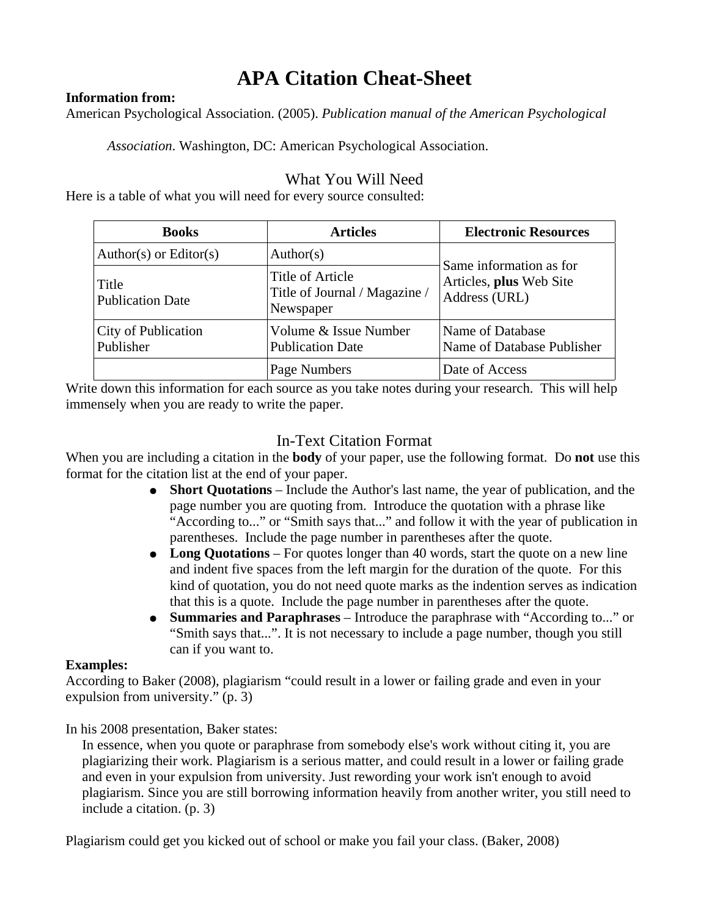# **APA Citation Cheat-Sheet**

#### **Information from:**

American Psychological Association. (2005). *Publication manual of the American Psychological* 

*Association*. Washington, DC: American Psychological Association.

## What You Will Need

Here is a table of what you will need for every source consulted:

| <b>Books</b>                     | <b>Articles</b>                                                | <b>Electronic Resources</b>                                         |
|----------------------------------|----------------------------------------------------------------|---------------------------------------------------------------------|
| Author(s) or Editor(s)           | Author(s)                                                      | Same information as for<br>Articles, plus Web Site<br>Address (URL) |
| Title<br><b>Publication Date</b> | Title of Article<br>Title of Journal / Magazine /<br>Newspaper |                                                                     |
| City of Publication<br>Publisher | Volume & Issue Number<br><b>Publication Date</b>               | Name of Database<br>Name of Database Publisher                      |
|                                  | Page Numbers                                                   | Date of Access                                                      |

Write down this information for each source as you take notes during your research. This will help immensely when you are ready to write the paper.

## In-Text Citation Format

When you are including a citation in the **body** of your paper, use the following format. Do **not** use this format for the citation list at the end of your paper.

- **Short Quotations** Include the Author's last name, the year of publication, and the page number you are quoting from. Introduce the quotation with a phrase like "According to..." or "Smith says that..." and follow it with the year of publication in parentheses. Include the page number in parentheses after the quote.
- Long Quotations For quotes longer than 40 words, start the quote on a new line and indent five spaces from the left margin for the duration of the quote. For this kind of quotation, you do not need quote marks as the indention serves as indication that this is a quote. Include the page number in parentheses after the quote.
- **Summaries and Paraphrases** Introduce the paraphrase with "According to..." or "Smith says that...". It is not necessary to include a page number, though you still can if you want to.

#### **Examples:**

According to Baker (2008), plagiarism "could result in a lower or failing grade and even in your expulsion from university." (p. 3)

In his 2008 presentation, Baker states:

In essence, when you quote or paraphrase from somebody else's work without citing it, you are plagiarizing their work. Plagiarism is a serious matter, and could result in a lower or failing grade and even in your expulsion from university. Just rewording your work isn't enough to avoid plagiarism. Since you are still borrowing information heavily from another writer, you still need to include a citation. (p. 3)

Plagiarism could get you kicked out of school or make you fail your class. (Baker, 2008)